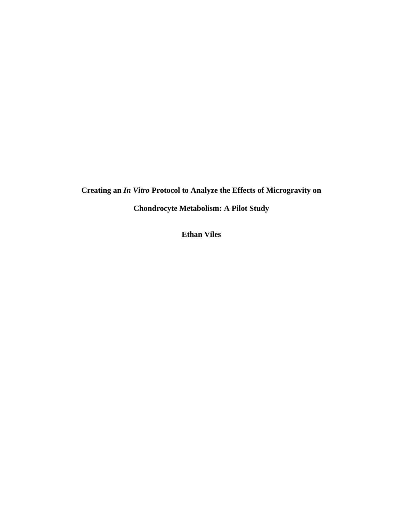**Creating an** *In Vitro* **Protocol to Analyze the Effects of Microgravity on** 

**Chondrocyte Metabolism: A Pilot Study**

**Ethan Viles**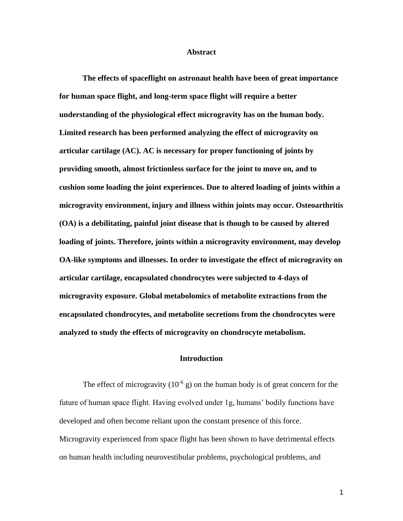#### **Abstract**

**The effects of spaceflight on astronaut health have been of great importance for human space flight, and long-term space flight will require a better understanding of the physiological effect microgravity has on the human body. Limited research has been performed analyzing the effect of microgravity on articular cartilage (AC). AC is necessary for proper functioning of joints by providing smooth, almost frictionless surface for the joint to move on, and to cushion some loading the joint experiences. Due to altered loading of joints within a microgravity environment, injury and illness within joints may occur. Osteoarthritis (OA) is a debilitating, painful joint disease that is though to be caused by altered loading of joints. Therefore, joints within a microgravity environment, may develop OA-like symptoms and illnesses. In order to investigate the effect of microgravity on articular cartilage, encapsulated chondrocytes were subjected to 4-days of microgravity exposure. Global metabolomics of metabolite extractions from the encapsulated chondrocytes, and metabolite secretions from the chondrocytes were analyzed to study the effects of microgravity on chondrocyte metabolism.** 

## **Introduction**

The effect of microgravity  $(10^{-6} \text{ g})$  on the human body is of great concern for the future of human space flight. Having evolved under 1g, humans' bodily functions have developed and often become reliant upon the constant presence of this force. Microgravity experienced from space flight has been shown to have detrimental effects on human health including neurovestibular problems, psychological problems, and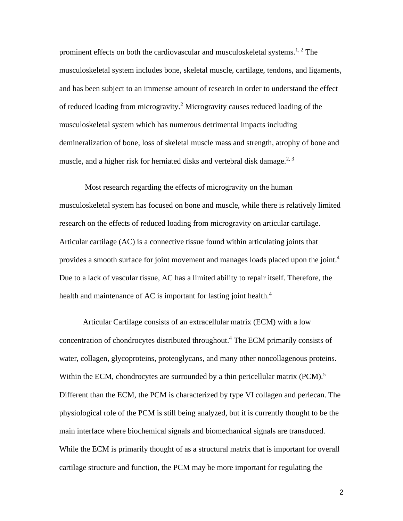prominent effects on both the cardiovascular and musculoskeletal systems.<sup>1, 2</sup> The musculoskeletal system includes bone, skeletal muscle, cartilage, tendons, and ligaments, and has been subject to an immense amount of research in order to understand the effect of reduced loading from microgravity.<sup>2</sup> Microgravity causes reduced loading of the musculoskeletal system which has numerous detrimental impacts including demineralization of bone, loss of skeletal muscle mass and strength, atrophy of bone and muscle, and a higher risk for herniated disks and vertebral disk damage.<sup>2, 3</sup>

Most research regarding the effects of microgravity on the human musculoskeletal system has focused on bone and muscle, while there is relatively limited research on the effects of reduced loading from microgravity on articular cartilage. Articular cartilage (AC) is a connective tissue found within articulating joints that provides a smooth surface for joint movement and manages loads placed upon the joint.<sup>4</sup> Due to a lack of vascular tissue, AC has a limited ability to repair itself. Therefore, the health and maintenance of AC is important for lasting joint health. $4$ 

Articular Cartilage consists of an extracellular matrix (ECM) with a low concentration of chondrocytes distributed throughout.<sup>4</sup> The ECM primarily consists of water, collagen, glycoproteins, proteoglycans, and many other noncollagenous proteins. Within the ECM, chondrocytes are surrounded by a thin pericellular matrix  $(PCM)$ .<sup>5</sup> Different than the ECM, the PCM is characterized by type VI collagen and perlecan. The physiological role of the PCM is still being analyzed, but it is currently thought to be the main interface where biochemical signals and biomechanical signals are transduced. While the ECM is primarily thought of as a structural matrix that is important for overall cartilage structure and function, the PCM may be more important for regulating the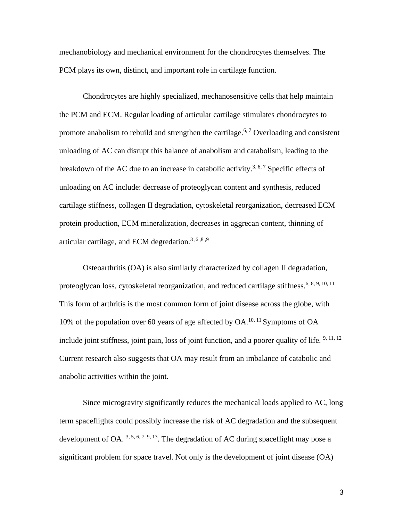mechanobiology and mechanical environment for the chondrocytes themselves. The PCM plays its own, distinct, and important role in cartilage function.

Chondrocytes are highly specialized, mechanosensitive cells that help maintain the PCM and ECM. Regular loading of articular cartilage stimulates chondrocytes to promote anabolism to rebuild and strengthen the cartilage.<sup>6, 7</sup> Overloading and consistent unloading of AC can disrupt this balance of anabolism and catabolism, leading to the breakdown of the AC due to an increase in catabolic activity.<sup>3, 6, 7</sup> Specific effects of unloading on AC include: decrease of proteoglycan content and synthesis, reduced cartilage stiffness, collagen II degradation, cytoskeletal reorganization, decreased ECM protein production, ECM mineralization, decreases in aggrecan content, thinning of articular cartilage, and ECM degredation.<sup>3,6,8,9</sup>

Osteoarthritis (OA) is also similarly characterized by collagen II degradation, proteoglycan loss, cytoskeletal reorganization, and reduced cartilage stiffness.<sup>6, 8, 9, 10, 11</sup> This form of arthritis is the most common form of joint disease across the globe, with 10% of the population over 60 years of age affected by  $OA$ .<sup>10, 11</sup> Symptoms of  $OA$ include joint stiffness, joint pain, loss of joint function, and a poorer quality of life.  $9,11,12$ Current research also suggests that OA may result from an imbalance of catabolic and anabolic activities within the joint.

Since microgravity significantly reduces the mechanical loads applied to AC, long term spaceflights could possibly increase the risk of AC degradation and the subsequent development of OA.  $3, 5, 6, 7, 9, 13$ . The degradation of AC during spaceflight may pose a significant problem for space travel. Not only is the development of joint disease (OA)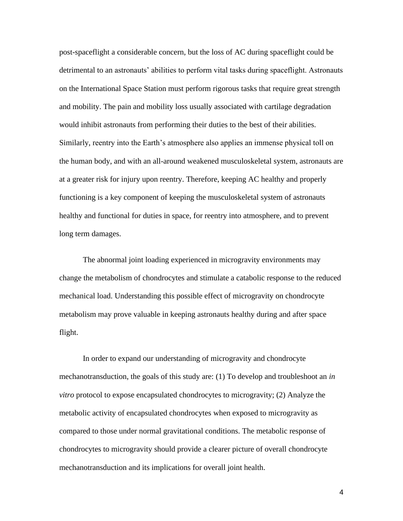post-spaceflight a considerable concern, but the loss of AC during spaceflight could be detrimental to an astronauts' abilities to perform vital tasks during spaceflight. Astronauts on the International Space Station must perform rigorous tasks that require great strength and mobility. The pain and mobility loss usually associated with cartilage degradation would inhibit astronauts from performing their duties to the best of their abilities. Similarly, reentry into the Earth's atmosphere also applies an immense physical toll on the human body, and with an all-around weakened musculoskeletal system, astronauts are at a greater risk for injury upon reentry. Therefore, keeping AC healthy and properly functioning is a key component of keeping the musculoskeletal system of astronauts healthy and functional for duties in space, for reentry into atmosphere, and to prevent long term damages.

The abnormal joint loading experienced in microgravity environments may change the metabolism of chondrocytes and stimulate a catabolic response to the reduced mechanical load. Understanding this possible effect of microgravity on chondrocyte metabolism may prove valuable in keeping astronauts healthy during and after space flight.

In order to expand our understanding of microgravity and chondrocyte mechanotransduction, the goals of this study are: (1) To develop and troubleshoot an *in vitro* protocol to expose encapsulated chondrocytes to microgravity; (2) Analyze the metabolic activity of encapsulated chondrocytes when exposed to microgravity as compared to those under normal gravitational conditions. The metabolic response of chondrocytes to microgravity should provide a clearer picture of overall chondrocyte mechanotransduction and its implications for overall joint health.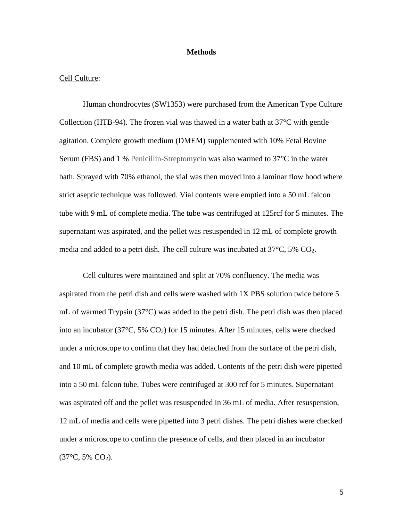### **Methods**

#### Cell Culture:

Human chondrocytes (SW1353) were purchased from the American Type Culture Collection (HTB-94). The frozen vial was thawed in a water bath at  $37^{\circ}$ C with gentle agitation. Complete growth medium (DMEM) supplemented with 10% Fetal Bovine Serum (FBS) and 1 % Penicillin-Streptomycin was also warmed to 37°C in the water bath. Sprayed with 70% ethanol, the vial was then moved into a laminar flow hood where strict aseptic technique was followed. Vial contents were emptied into a 50 mL falcon tube with 9 mL of complete media. The tube was centrifuged at 125rcf for 5 minutes. The supernatant was aspirated, and the pellet was resuspended in 12 mL of complete growth media and added to a petri dish. The cell culture was incubated at 37°C, 5% CO2.

Cell cultures were maintained and split at 70% confluency. The media was aspirated from the petri dish and cells were washed with 1X PBS solution twice before 5 mL of warmed Trypsin (37°C) was added to the petri dish. The petri dish was then placed into an incubator (37 $\degree$ C, 5% CO<sub>2</sub>) for 15 minutes. After 15 minutes, cells were checked under a microscope to confirm that they had detached from the surface of the petri dish, and 10 mL of complete growth media was added. Contents of the petri dish were pipetted into a 50 mL falcon tube. Tubes were centrifuged at 300 rcf for 5 minutes. Supernatant was aspirated off and the pellet was resuspended in 36 mL of media. After resuspension, 12 mL of media and cells were pipetted into 3 petri dishes. The petri dishes were checked under a microscope to confirm the presence of cells, and then placed in an incubator  $(37^{\circ}C, 5\%$  CO<sub>2</sub>).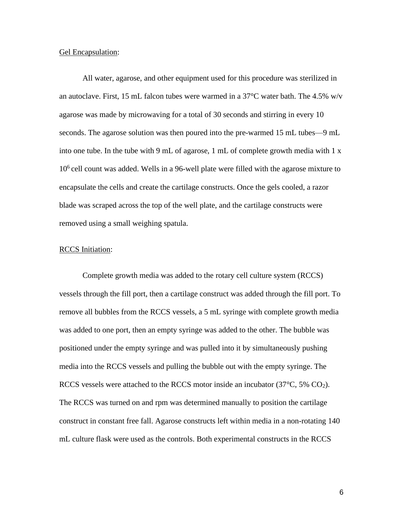#### Gel Encapsulation:

All water, agarose, and other equipment used for this procedure was sterilized in an autoclave. First, 15 mL falcon tubes were warmed in a  $37^{\circ}$ C water bath. The 4.5% w/v agarose was made by microwaving for a total of 30 seconds and stirring in every 10 seconds. The agarose solution was then poured into the pre-warmed 15 mL tubes—9 mL into one tube. In the tube with 9 mL of agarose, 1 mL of complete growth media with 1 x 10<sup>6</sup> cell count was added. Wells in a 96-well plate were filled with the agarose mixture to encapsulate the cells and create the cartilage constructs. Once the gels cooled, a razor blade was scraped across the top of the well plate, and the cartilage constructs were removed using a small weighing spatula.

### RCCS Initiation:

Complete growth media was added to the rotary cell culture system (RCCS) vessels through the fill port, then a cartilage construct was added through the fill port. To remove all bubbles from the RCCS vessels, a 5 mL syringe with complete growth media was added to one port, then an empty syringe was added to the other. The bubble was positioned under the empty syringe and was pulled into it by simultaneously pushing media into the RCCS vessels and pulling the bubble out with the empty syringe. The RCCS vessels were attached to the RCCS motor inside an incubator ( $37^{\circ}$ C,  $5\%$  CO<sub>2</sub>). The RCCS was turned on and rpm was determined manually to position the cartilage construct in constant free fall. Agarose constructs left within media in a non-rotating 140 mL culture flask were used as the controls. Both experimental constructs in the RCCS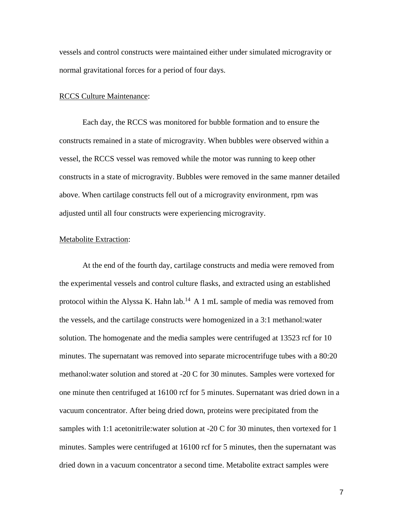vessels and control constructs were maintained either under simulated microgravity or normal gravitational forces for a period of four days.

#### RCCS Culture Maintenance:

Each day, the RCCS was monitored for bubble formation and to ensure the constructs remained in a state of microgravity. When bubbles were observed within a vessel, the RCCS vessel was removed while the motor was running to keep other constructs in a state of microgravity. Bubbles were removed in the same manner detailed above. When cartilage constructs fell out of a microgravity environment, rpm was adjusted until all four constructs were experiencing microgravity.

#### Metabolite Extraction:

At the end of the fourth day, cartilage constructs and media were removed from the experimental vessels and control culture flasks, and extracted using an established protocol within the Alyssa K. Hahn lab.<sup>14</sup> A 1 mL sample of media was removed from the vessels, and the cartilage constructs were homogenized in a 3:1 methanol:water solution. The homogenate and the media samples were centrifuged at 13523 rcf for 10 minutes. The supernatant was removed into separate microcentrifuge tubes with a 80:20 methanol:water solution and stored at -20 C for 30 minutes. Samples were vortexed for one minute then centrifuged at 16100 rcf for 5 minutes. Supernatant was dried down in a vacuum concentrator. After being dried down, proteins were precipitated from the samples with 1:1 acetonitrile:water solution at -20 C for 30 minutes, then vortexed for 1 minutes. Samples were centrifuged at 16100 rcf for 5 minutes, then the supernatant was dried down in a vacuum concentrator a second time. Metabolite extract samples were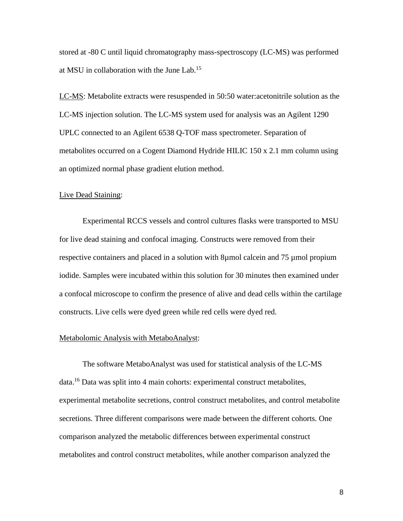stored at -80 C until liquid chromatography mass-spectroscopy (LC-MS) was performed at MSU in collaboration with the June Lab.<sup>15</sup>

LC-MS: Metabolite extracts were resuspended in 50:50 water:acetonitrile solution as the LC-MS injection solution. The LC-MS system used for analysis was an Agilent 1290 UPLC connected to an Agilent 6538 Q-TOF mass spectrometer. Separation of metabolites occurred on a Cogent Diamond Hydride HILIC 150 x 2.1 mm column using an optimized normal phase gradient elution method.

### Live Dead Staining:

Experimental RCCS vessels and control cultures flasks were transported to MSU for live dead staining and confocal imaging. Constructs were removed from their respective containers and placed in a solution with 8µmol calcein and 75 µmol propium iodide. Samples were incubated within this solution for 30 minutes then examined under a confocal microscope to confirm the presence of alive and dead cells within the cartilage constructs. Live cells were dyed green while red cells were dyed red.

### Metabolomic Analysis with MetaboAnalyst:

The software MetaboAnalyst was used for statistical analysis of the LC-MS data.<sup>16</sup> Data was split into 4 main cohorts: experimental construct metabolites, experimental metabolite secretions, control construct metabolites, and control metabolite secretions. Three different comparisons were made between the different cohorts. One comparison analyzed the metabolic differences between experimental construct metabolites and control construct metabolites, while another comparison analyzed the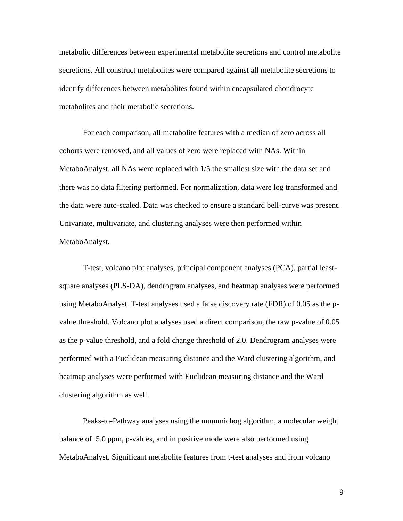metabolic differences between experimental metabolite secretions and control metabolite secretions. All construct metabolites were compared against all metabolite secretions to identify differences between metabolites found within encapsulated chondrocyte metabolites and their metabolic secretions.

For each comparison, all metabolite features with a median of zero across all cohorts were removed, and all values of zero were replaced with NAs. Within MetaboAnalyst, all NAs were replaced with 1/5 the smallest size with the data set and there was no data filtering performed. For normalization, data were log transformed and the data were auto-scaled. Data was checked to ensure a standard bell-curve was present. Univariate, multivariate, and clustering analyses were then performed within MetaboAnalyst.

T-test, volcano plot analyses, principal component analyses (PCA), partial leastsquare analyses (PLS-DA), dendrogram analyses, and heatmap analyses were performed using MetaboAnalyst. T-test analyses used a false discovery rate (FDR) of 0.05 as the pvalue threshold. Volcano plot analyses used a direct comparison, the raw p-value of 0.05 as the p-value threshold, and a fold change threshold of 2.0. Dendrogram analyses were performed with a Euclidean measuring distance and the Ward clustering algorithm, and heatmap analyses were performed with Euclidean measuring distance and the Ward clustering algorithm as well.

Peaks-to-Pathway analyses using the mummichog algorithm, a molecular weight balance of 5.0 ppm, p-values, and in positive mode were also performed using MetaboAnalyst. Significant metabolite features from t-test analyses and from volcano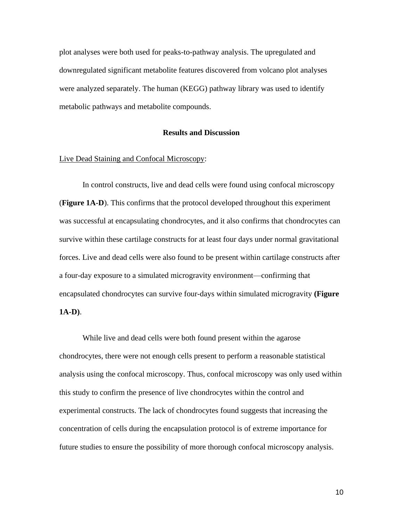plot analyses were both used for peaks-to-pathway analysis. The upregulated and downregulated significant metabolite features discovered from volcano plot analyses were analyzed separately. The human (KEGG) pathway library was used to identify metabolic pathways and metabolite compounds.

#### **Results and Discussion**

### Live Dead Staining and Confocal Microscopy:

In control constructs, live and dead cells were found using confocal microscopy (**Figure 1A-D**). This confirms that the protocol developed throughout this experiment was successful at encapsulating chondrocytes, and it also confirms that chondrocytes can survive within these cartilage constructs for at least four days under normal gravitational forces. Live and dead cells were also found to be present within cartilage constructs after a four-day exposure to a simulated microgravity environment—confirming that encapsulated chondrocytes can survive four-days within simulated microgravity **(Figure 1A-D)**.

While live and dead cells were both found present within the agarose chondrocytes, there were not enough cells present to perform a reasonable statistical analysis using the confocal microscopy. Thus, confocal microscopy was only used within this study to confirm the presence of live chondrocytes within the control and experimental constructs. The lack of chondrocytes found suggests that increasing the concentration of cells during the encapsulation protocol is of extreme importance for future studies to ensure the possibility of more thorough confocal microscopy analysis.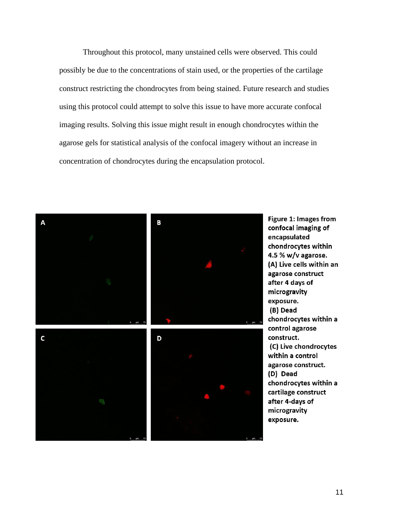Throughout this protocol, many unstained cells were observed. This could possibly be due to the concentrations of stain used, or the properties of the cartilage construct restricting the chondrocytes from being stained. Future research and studies using this protocol could attempt to solve this issue to have more accurate confocal imaging results. Solving this issue might result in enough chondrocytes within the agarose gels for statistical analysis of the confocal imagery without an increase in concentration of chondrocytes during the encapsulation protocol.



**Figure 1: Images from** confocal imaging of encapsulated chondrocytes within 4.5 % w/v agarose. (A) Live cells within an agarose construct after 4 days of microgravity exposure. (B) Dead chondrocytes within a control agarose construct. (C) Live chondrocytes within a control agarose construct. (D) Dead chondrocytes within a cartilage construct after 4-days of microgravity exposure.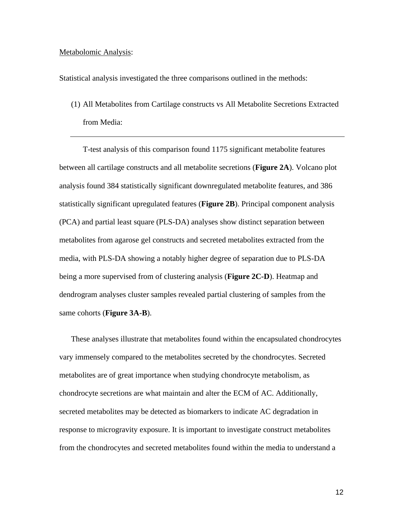#### Metabolomic Analysis:

Statistical analysis investigated the three comparisons outlined in the methods:

(1) All Metabolites from Cartilage constructs vs All Metabolite Secretions Extracted from Media:

T-test analysis of this comparison found 1175 significant metabolite features between all cartilage constructs and all metabolite secretions (**Figure 2A**). Volcano plot analysis found 384 statistically significant downregulated metabolite features, and 386 statistically significant upregulated features (**Figure 2B**). Principal component analysis (PCA) and partial least square (PLS-DA) analyses show distinct separation between metabolites from agarose gel constructs and secreted metabolites extracted from the media, with PLS-DA showing a notably higher degree of separation due to PLS-DA being a more supervised from of clustering analysis (**Figure 2C-D**). Heatmap and dendrogram analyses cluster samples revealed partial clustering of samples from the same cohorts (**Figure 3A-B**).

These analyses illustrate that metabolites found within the encapsulated chondrocytes vary immensely compared to the metabolites secreted by the chondrocytes. Secreted metabolites are of great importance when studying chondrocyte metabolism, as chondrocyte secretions are what maintain and alter the ECM of AC. Additionally, secreted metabolites may be detected as biomarkers to indicate AC degradation in response to microgravity exposure. It is important to investigate construct metabolites from the chondrocytes and secreted metabolites found within the media to understand a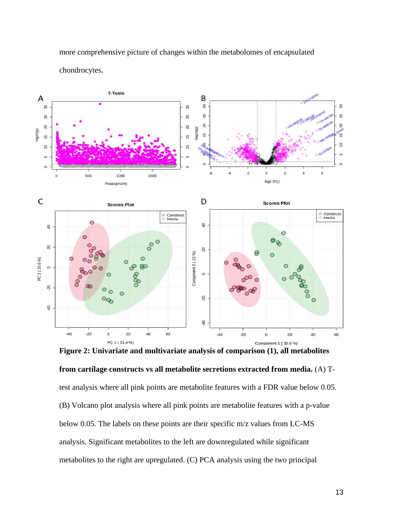

more comprehensive picture of changes within the metabolomes of encapsulated chondrocytes.

**Figure 2: Univariate and multivariate analysis of comparison (1), all metabolites** 

**from cartilage constructs vs all metabolite secretions extracted from media.** (A) Ttest analysis where all pink points are metabolite features with a FDR value below 0.05. (B) Volcano plot analysis where all pink points are metabolite features with a p-value below 0.05. The labels on these points are their specific m/z values from LC-MS analysis. Significant metabolites to the left are downregulated while significant metabolites to the right are upregulated. (C) PCA analysis using the two principal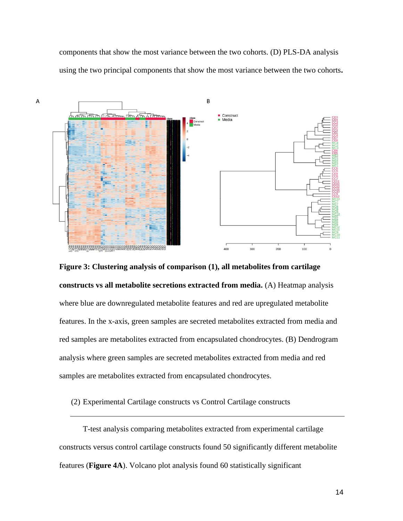components that show the most variance between the two cohorts. (D) PLS-DA analysis using the two principal components that show the most variance between the two cohorts**.**



**Figure 3: Clustering analysis of comparison (1), all metabolites from cartilage** 

**constructs vs all metabolite secretions extracted from media.** (A) Heatmap analysis where blue are downregulated metabolite features and red are upregulated metabolite features. In the x-axis, green samples are secreted metabolites extracted from media and red samples are metabolites extracted from encapsulated chondrocytes. (B) Dendrogram analysis where green samples are secreted metabolites extracted from media and red samples are metabolites extracted from encapsulated chondrocytes.

(2) Experimental Cartilage constructs vs Control Cartilage constructs

T-test analysis comparing metabolites extracted from experimental cartilage constructs versus control cartilage constructs found 50 significantly different metabolite features (**Figure 4A**). Volcano plot analysis found 60 statistically significant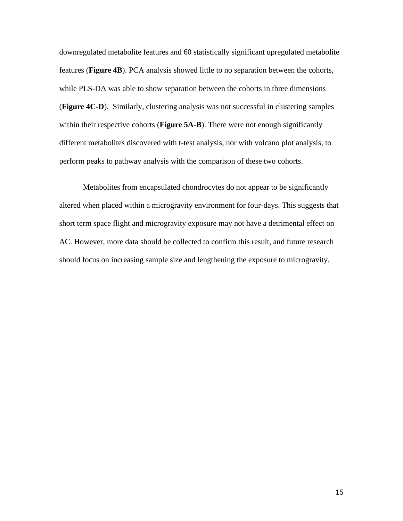downregulated metabolite features and 60 statistically significant upregulated metabolite features (**Figure 4B**). PCA analysis showed little to no separation between the cohorts, while PLS-DA was able to show separation between the cohorts in three dimensions (**Figure 4C-D**). Similarly, clustering analysis was not successful in clustering samples within their respective cohorts (**Figure 5A-B**). There were not enough significantly different metabolites discovered with t-test analysis, nor with volcano plot analysis, to perform peaks to pathway analysis with the comparison of these two cohorts.

Metabolites from encapsulated chondrocytes do not appear to be significantly altered when placed within a microgravity environment for four-days. This suggests that short term space flight and microgravity exposure may not have a detrimental effect on AC. However, more data should be collected to confirm this result, and future research should focus on increasing sample size and lengthening the exposure to microgravity.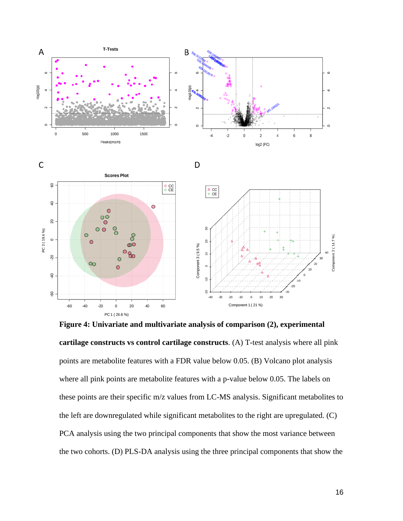

**Figure 4: Univariate and multivariate analysis of comparison (2), experimental cartilage constructs vs control cartilage constructs**. (A) T-test analysis where all pink points are metabolite features with a FDR value below 0.05. (B) Volcano plot analysis where all pink points are metabolite features with a p-value below 0.05. The labels on these points are their specific m/z values from LC-MS analysis. Significant metabolites to the left are downregulated while significant metabolites to the right are upregulated. (C) PCA analysis using the two principal components that show the most variance between the two cohorts. (D) PLS-DA analysis using the three principal components that show the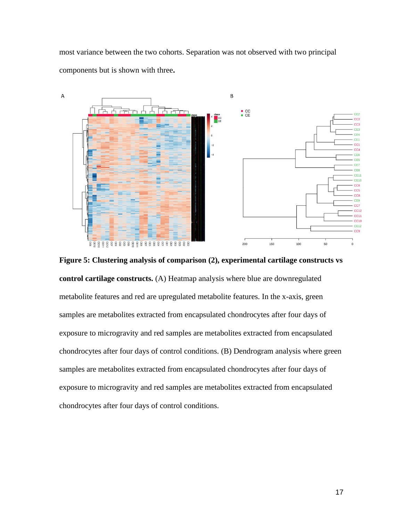most variance between the two cohorts. Separation was not observed with two principal components but is shown with three**.**



**Figure 5: Clustering analysis of comparison (2), experimental cartilage constructs vs control cartilage constructs.** (A) Heatmap analysis where blue are downregulated metabolite features and red are upregulated metabolite features. In the x-axis, green samples are metabolites extracted from encapsulated chondrocytes after four days of exposure to microgravity and red samples are metabolites extracted from encapsulated chondrocytes after four days of control conditions. (B) Dendrogram analysis where green samples are metabolites extracted from encapsulated chondrocytes after four days of exposure to microgravity and red samples are metabolites extracted from encapsulated chondrocytes after four days of control conditions.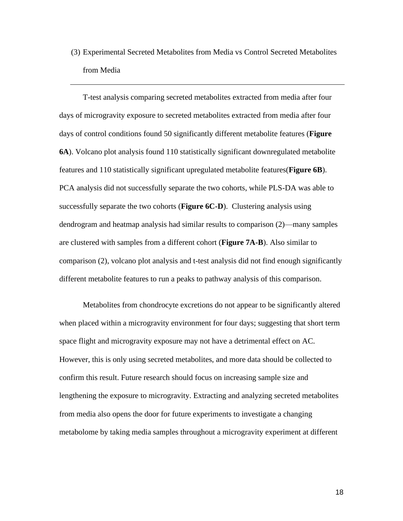(3) Experimental Secreted Metabolites from Media vs Control Secreted Metabolites from Media

T-test analysis comparing secreted metabolites extracted from media after four days of microgravity exposure to secreted metabolites extracted from media after four days of control conditions found 50 significantly different metabolite features (**Figure 6A**). Volcano plot analysis found 110 statistically significant downregulated metabolite features and 110 statistically significant upregulated metabolite features(**Figure 6B**). PCA analysis did not successfully separate the two cohorts, while PLS-DA was able to successfully separate the two cohorts (**Figure 6C-D**). Clustering analysis using dendrogram and heatmap analysis had similar results to comparison (2)—many samples are clustered with samples from a different cohort (**Figure 7A-B**). Also similar to comparison (2), volcano plot analysis and t-test analysis did not find enough significantly different metabolite features to run a peaks to pathway analysis of this comparison.

Metabolites from chondrocyte excretions do not appear to be significantly altered when placed within a microgravity environment for four days; suggesting that short term space flight and microgravity exposure may not have a detrimental effect on AC. However, this is only using secreted metabolites, and more data should be collected to confirm this result. Future research should focus on increasing sample size and lengthening the exposure to microgravity. Extracting and analyzing secreted metabolites from media also opens the door for future experiments to investigate a changing metabolome by taking media samples throughout a microgravity experiment at different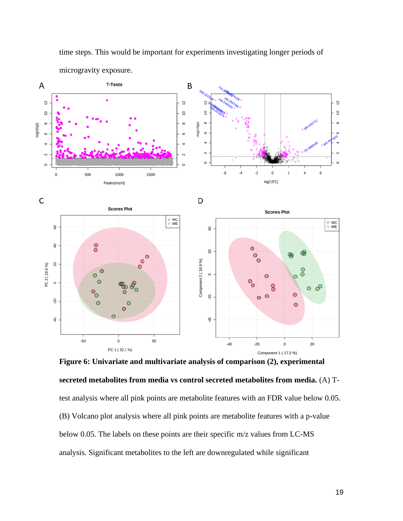

time steps. This would be important for experiments investigating longer periods of

**secreted metabolites from media vs control secreted metabolites from media.** (A) Ttest analysis where all pink points are metabolite features with an FDR value below 0.05. (B) Volcano plot analysis where all pink points are metabolite features with a p-value below 0.05. The labels on these points are their specific m/z values from LC-MS analysis. Significant metabolites to the left are downregulated while significant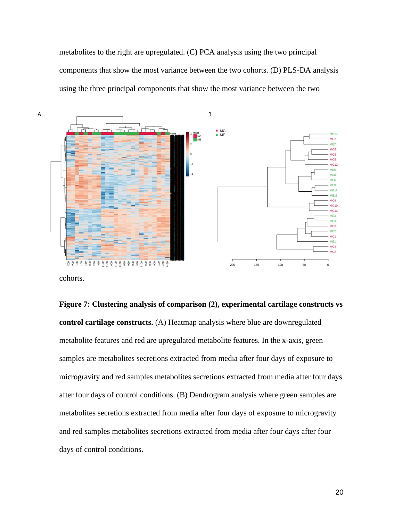metabolites to the right are upregulated. (C) PCA analysis using the two principal components that show the most variance between the two cohorts. (D) PLS-DA analysis using the three principal components that show the most variance between the two



cohorts.

**Figure 7: Clustering analysis of comparison (2), experimental cartilage constructs vs control cartilage constructs.** (A) Heatmap analysis where blue are downregulated metabolite features and red are upregulated metabolite features. In the x-axis, green samples are metabolites secretions extracted from media after four days of exposure to microgravity and red samples metabolites secretions extracted from media after four days after four days of control conditions. (B) Dendrogram analysis where green samples are metabolites secretions extracted from media after four days of exposure to microgravity and red samples metabolites secretions extracted from media after four days after four days of control conditions.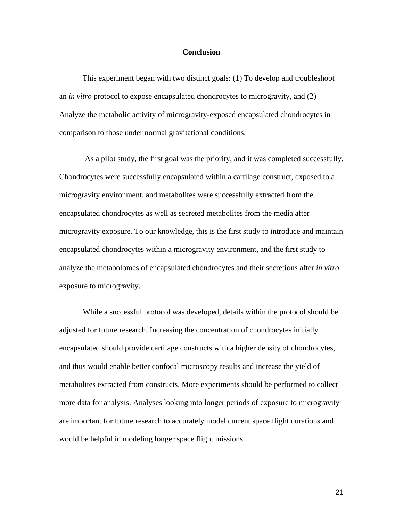### **Conclusion**

This experiment began with two distinct goals: (1) To develop and troubleshoot an *in vitro* protocol to expose encapsulated chondrocytes to microgravity, and (2) Analyze the metabolic activity of microgravity-exposed encapsulated chondrocytes in comparison to those under normal gravitational conditions.

As a pilot study, the first goal was the priority, and it was completed successfully. Chondrocytes were successfully encapsulated within a cartilage construct, exposed to a microgravity environment, and metabolites were successfully extracted from the encapsulated chondrocytes as well as secreted metabolites from the media after microgravity exposure. To our knowledge, this is the first study to introduce and maintain encapsulated chondrocytes within a microgravity environment, and the first study to analyze the metabolomes of encapsulated chondrocytes and their secretions after *in vitro* exposure to microgravity.

While a successful protocol was developed, details within the protocol should be adjusted for future research. Increasing the concentration of chondrocytes initially encapsulated should provide cartilage constructs with a higher density of chondrocytes, and thus would enable better confocal microscopy results and increase the yield of metabolites extracted from constructs. More experiments should be performed to collect more data for analysis. Analyses looking into longer periods of exposure to microgravity are important for future research to accurately model current space flight durations and would be helpful in modeling longer space flight missions.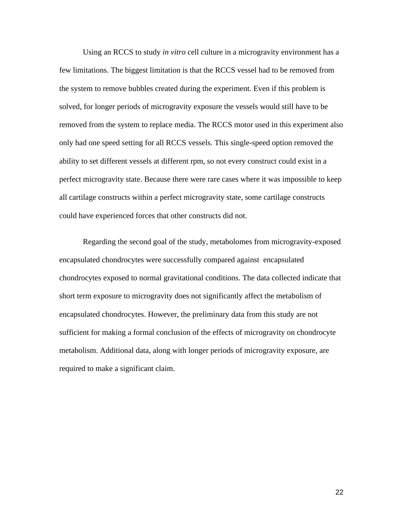Using an RCCS to study *in vitro* cell culture in a microgravity environment has a few limitations. The biggest limitation is that the RCCS vessel had to be removed from the system to remove bubbles created during the experiment. Even if this problem is solved, for longer periods of microgravity exposure the vessels would still have to be removed from the system to replace media. The RCCS motor used in this experiment also only had one speed setting for all RCCS vessels. This single-speed option removed the ability to set different vessels at different rpm, so not every construct could exist in a perfect microgravity state. Because there were rare cases where it was impossible to keep all cartilage constructs within a perfect microgravity state, some cartilage constructs could have experienced forces that other constructs did not.

Regarding the second goal of the study, metabolomes from microgravity-exposed encapsulated chondrocytes were successfully compared against encapsulated chondrocytes exposed to normal gravitational conditions. The data collected indicate that short term exposure to microgravity does not significantly affect the metabolism of encapsulated chondrocytes. However, the preliminary data from this study are not sufficient for making a formal conclusion of the effects of microgravity on chondrocyte metabolism. Additional data, along with longer periods of microgravity exposure, are required to make a significant claim.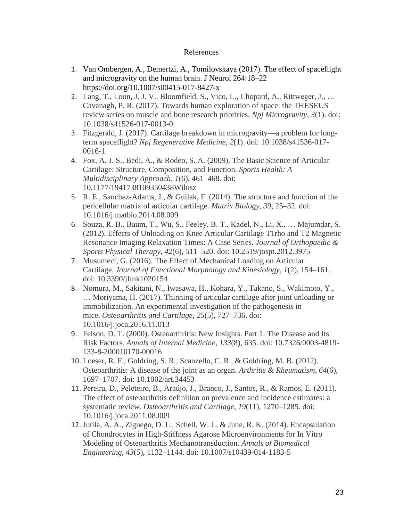# References

- 1. Van Ombergen, A., Demertzi, A., Tomilovskaya (2017). The effect of spaceflight and microgravity on the human brain. J Neurol 264:18–22 https://doi.org/10.1007/s00415-017-8427-x
- 2. Lang, T., Loon, J. J. V., Bloomfield, S., Vico, L., Chopard, A., Rittweger, J., … Cavanagh, P. R. (2017). Towards human exploration of space: the THESEUS review series on muscle and bone research priorities. *Npj Microgravity*, *3*(1). doi: 10.1038/s41526-017-0013-0
- 3. Fitzgerald, J. (2017). Cartilage breakdown in microgravity—a problem for longterm spaceflight? *Npj Regenerative Medicine*, *2*(1). doi: 10.1038/s41536-017- 0016-1
- 4. Fox, A. J. S., Bedi, A., & Rodeo, S. A. (2009). The Basic Science of Articular Cartilage: Structure, Composition, and Function. *Sports Health: A Multidisciplinary Approach*, *1*(6), 461–468. doi: 10.1177/1941738109350438Wilusz
- 5. R. E., Sanchez-Adams, J., & Guilak, F. (2014). The structure and function of the pericellular matrix of articular cartilage. *Matrix Biology*, *39*, 25–32. doi: 10.1016/j.matbio.2014.08.009
- 6. Souza, R. B., Baum, T., Wu, S., Feeley, B. T., Kadel, N., Li, X., … Majumdar, S. (2012). Effects of Unloading on Knee Articular Cartilage T1rho and T2 Magnetic Resonance Imaging Relaxation Times: A Case Series. *Journal of Orthopaedic & Sports Physical Therapy*, *42*(6), 511–520. doi: 10.2519/jospt.2012.3975
- 7. Musumeci, G. (2016). The Effect of Mechanical Loading on Articular Cartilage. *Journal of Functional Morphology and Kinesiology*, *1*(2), 154–161. doi: 10.3390/jfmk1020154
- 8. Nomura, M., Sakitani, N., Iwasawa, H., Kohara, Y., Takano, S., Wakimoto, Y., … Moriyama, H. (2017). Thinning of articular cartilage after joint unloading or immobilization. An experimental investigation of the pathogenesis in mice. *Osteoarthritis and Cartilage*, *25*(5), 727–736. doi: 10.1016/j.joca.2016.11.013
- 9. Felson, D. T. (2000). Osteoarthritis: New Insights. Part 1: The Disease and Its Risk Factors. *Annals of Internal Medicine*, *133*(8), 635. doi: 10.7326/0003-4819- 133-8-200010170-00016
- 10. Loeser, R. F., Goldring, S. R., Scanzello, C. R., & Goldring, M. B. (2012). Osteoarthritis: A disease of the joint as an organ. *Arthritis & Rheumatism*, *64*(6), 1697–1707. doi: 10.1002/art.34453
- 11. Pereira, D., Peleteiro, B., Araújo, J., Branco, J., Santos, R., & Ramos, E. (2011). The effect of osteoarthritis definition on prevalence and incidence estimates: a systematic review. *Osteoarthritis and Cartilage*, *19*(11), 1270–1285. doi: 10.1016/j.joca.2011.08.009
- 12. Jutila, A. A., Zignego, D. L., Schell, W. J., & June, R. K. (2014). Encapsulation of Chondrocytes in High-Stiffness Agarose Microenvironments for In Vitro Modeling of Osteoarthritis Mechanotransduction. *Annals of Biomedical Engineering*, *43*(5), 1132–1144. doi: 10.1007/s10439-014-1183-5